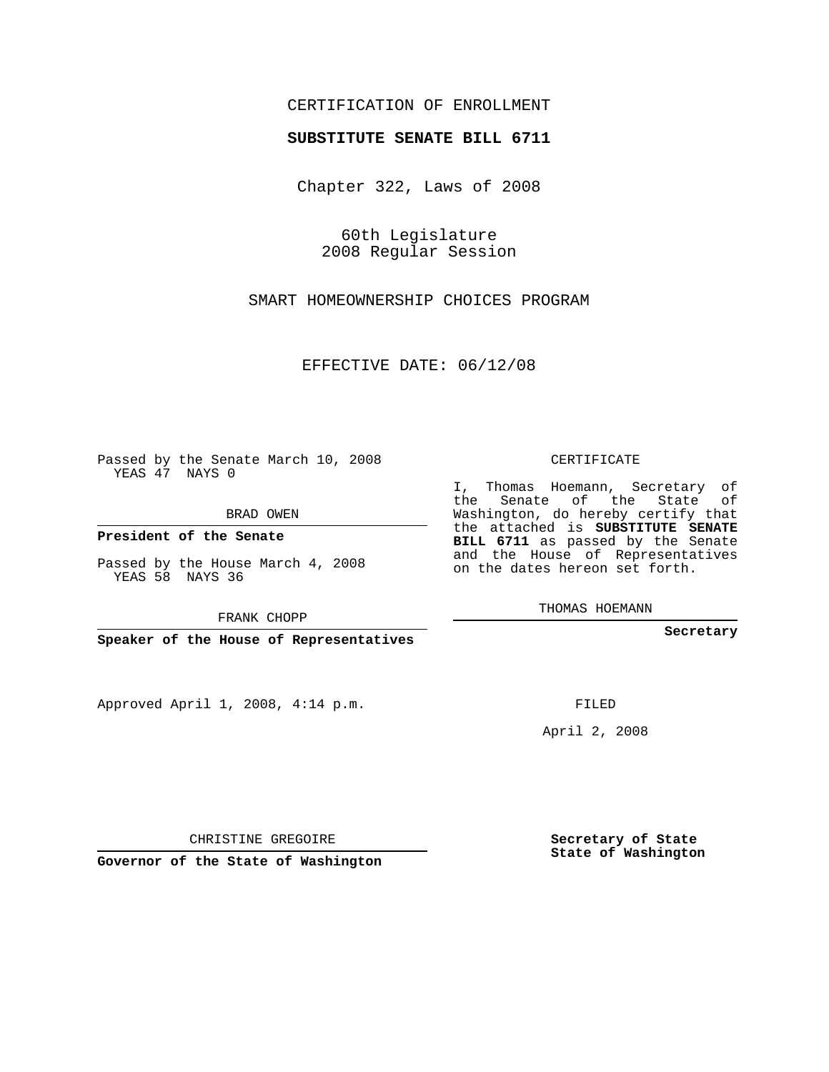## CERTIFICATION OF ENROLLMENT

## **SUBSTITUTE SENATE BILL 6711**

Chapter 322, Laws of 2008

60th Legislature 2008 Regular Session

SMART HOMEOWNERSHIP CHOICES PROGRAM

EFFECTIVE DATE: 06/12/08

Passed by the Senate March 10, 2008 YEAS 47 NAYS 0

BRAD OWEN

**President of the Senate**

Passed by the House March 4, 2008 YEAS 58 NAYS 36

FRANK CHOPP

**Speaker of the House of Representatives**

Approved April 1, 2008, 4:14 p.m.

CERTIFICATE

I, Thomas Hoemann, Secretary of the Senate of the State of Washington, do hereby certify that the attached is **SUBSTITUTE SENATE BILL 6711** as passed by the Senate and the House of Representatives on the dates hereon set forth.

THOMAS HOEMANN

**Secretary**

FILED

April 2, 2008

**Secretary of State State of Washington**

CHRISTINE GREGOIRE

**Governor of the State of Washington**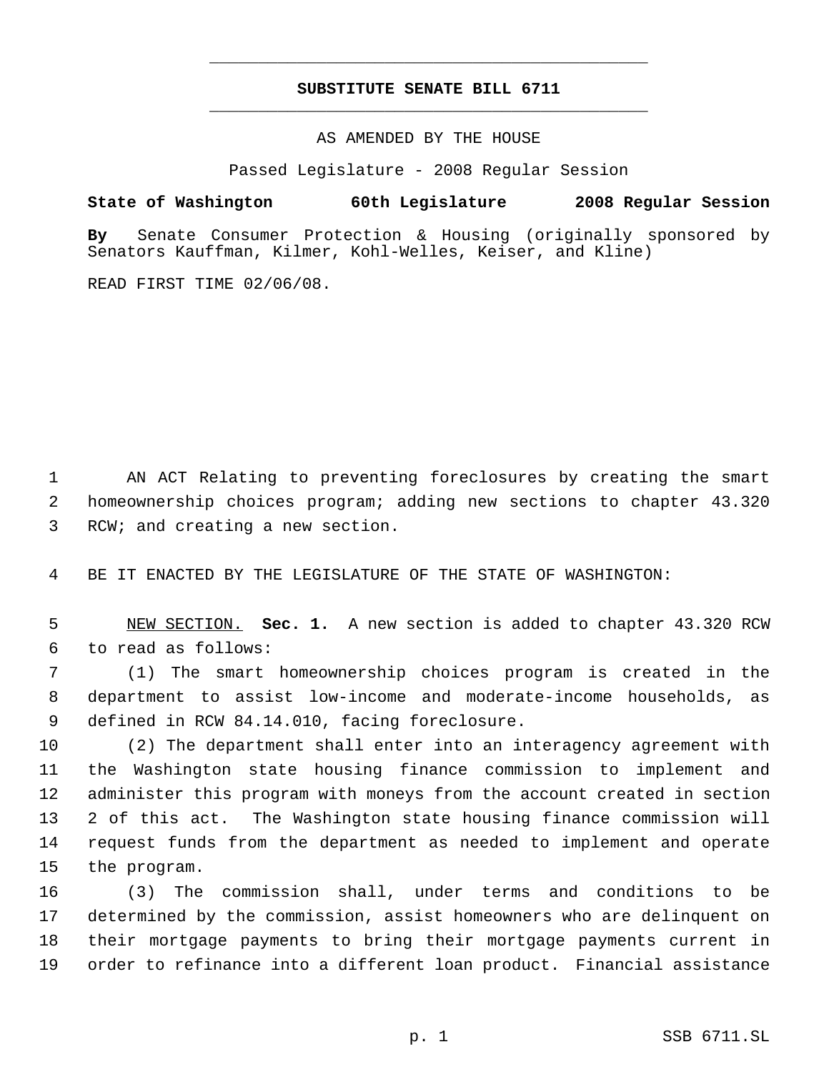## **SUBSTITUTE SENATE BILL 6711** \_\_\_\_\_\_\_\_\_\_\_\_\_\_\_\_\_\_\_\_\_\_\_\_\_\_\_\_\_\_\_\_\_\_\_\_\_\_\_\_\_\_\_\_\_

\_\_\_\_\_\_\_\_\_\_\_\_\_\_\_\_\_\_\_\_\_\_\_\_\_\_\_\_\_\_\_\_\_\_\_\_\_\_\_\_\_\_\_\_\_

AS AMENDED BY THE HOUSE

Passed Legislature - 2008 Regular Session

**State of Washington 60th Legislature 2008 Regular Session**

**By** Senate Consumer Protection & Housing (originally sponsored by Senators Kauffman, Kilmer, Kohl-Welles, Keiser, and Kline)

READ FIRST TIME 02/06/08.

 AN ACT Relating to preventing foreclosures by creating the smart homeownership choices program; adding new sections to chapter 43.320 RCW; and creating a new section.

BE IT ENACTED BY THE LEGISLATURE OF THE STATE OF WASHINGTON:

 NEW SECTION. **Sec. 1.** A new section is added to chapter 43.320 RCW to read as follows:

 (1) The smart homeownership choices program is created in the department to assist low-income and moderate-income households, as defined in RCW 84.14.010, facing foreclosure.

 (2) The department shall enter into an interagency agreement with the Washington state housing finance commission to implement and administer this program with moneys from the account created in section 2 of this act. The Washington state housing finance commission will request funds from the department as needed to implement and operate the program.

 (3) The commission shall, under terms and conditions to be determined by the commission, assist homeowners who are delinquent on their mortgage payments to bring their mortgage payments current in order to refinance into a different loan product. Financial assistance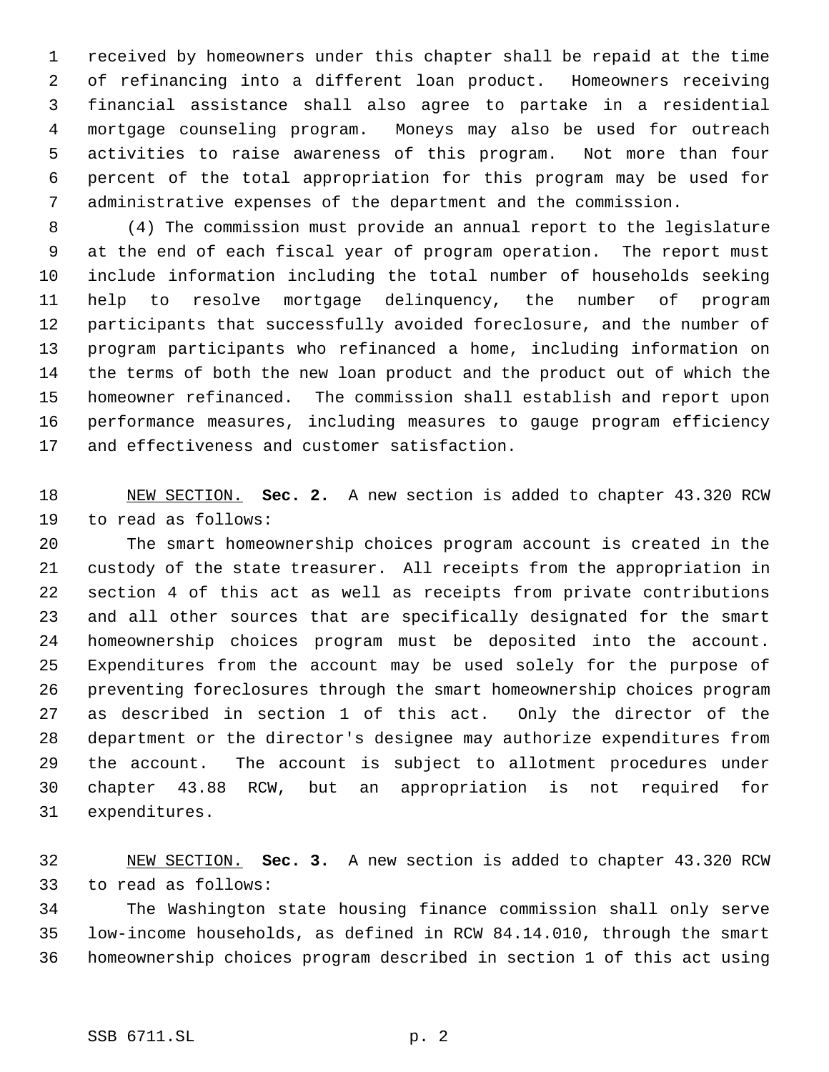received by homeowners under this chapter shall be repaid at the time of refinancing into a different loan product. Homeowners receiving financial assistance shall also agree to partake in a residential mortgage counseling program. Moneys may also be used for outreach activities to raise awareness of this program. Not more than four percent of the total appropriation for this program may be used for administrative expenses of the department and the commission.

 (4) The commission must provide an annual report to the legislature at the end of each fiscal year of program operation. The report must include information including the total number of households seeking help to resolve mortgage delinquency, the number of program participants that successfully avoided foreclosure, and the number of program participants who refinanced a home, including information on the terms of both the new loan product and the product out of which the homeowner refinanced. The commission shall establish and report upon performance measures, including measures to gauge program efficiency and effectiveness and customer satisfaction.

 NEW SECTION. **Sec. 2.** A new section is added to chapter 43.320 RCW to read as follows:

 The smart homeownership choices program account is created in the custody of the state treasurer. All receipts from the appropriation in section 4 of this act as well as receipts from private contributions and all other sources that are specifically designated for the smart homeownership choices program must be deposited into the account. Expenditures from the account may be used solely for the purpose of preventing foreclosures through the smart homeownership choices program as described in section 1 of this act. Only the director of the department or the director's designee may authorize expenditures from the account. The account is subject to allotment procedures under chapter 43.88 RCW, but an appropriation is not required for expenditures.

 NEW SECTION. **Sec. 3.** A new section is added to chapter 43.320 RCW to read as follows:

 The Washington state housing finance commission shall only serve low-income households, as defined in RCW 84.14.010, through the smart homeownership choices program described in section 1 of this act using